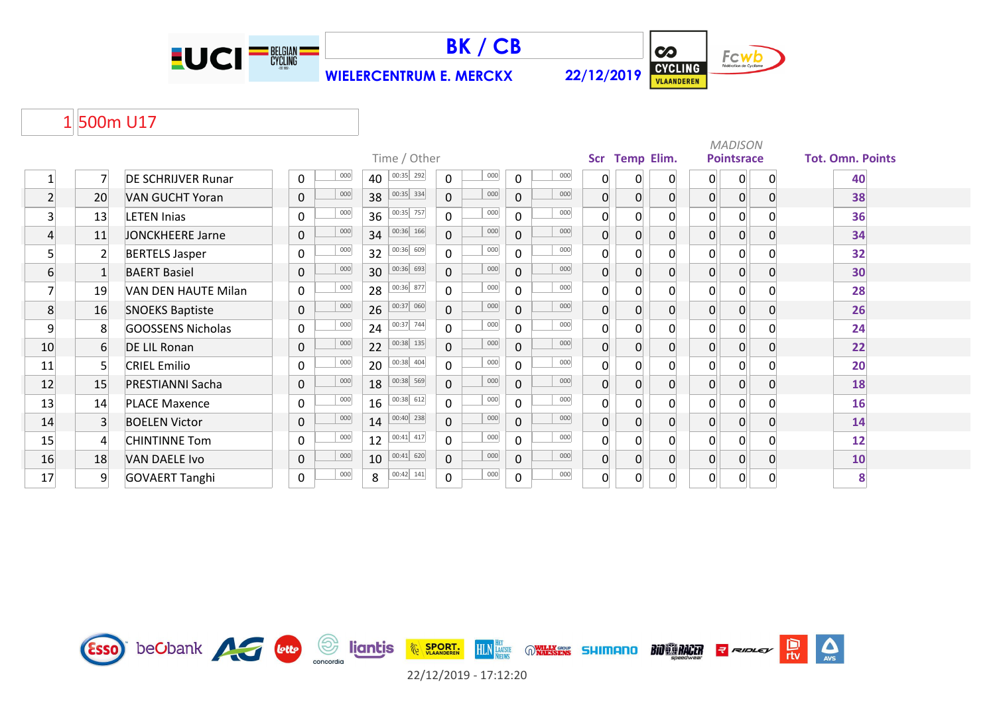



**WIELERCENTRUM E. MERCKX 22/12/2019**



## 1 500m U17

|          |                |                           |                    |                 |                     |                    |                |                |                |                | <b>MADISON</b>    |             |                         |
|----------|----------------|---------------------------|--------------------|-----------------|---------------------|--------------------|----------------|----------------|----------------|----------------|-------------------|-------------|-------------------------|
|          |                |                           |                    | Time / Other    |                     |                    |                | Scr Temp Elim. |                |                | <b>Pointsrace</b> |             | <b>Tot. Omn. Points</b> |
|          | 7              | <b>DE SCHRIJVER Runar</b> | 000<br>0           | 00:35 292<br>40 | 000<br>$\mathbf 0$  | 000<br>0           | 0              | 0              | $\mathbf 0$    | 0              | 0                 | 0           | 40                      |
| $2\vert$ | 20             | <b>VAN GUCHT Yoran</b>    | 000<br>$\mathbf 0$ | 00:35 334<br>38 | 000<br>$\mathbf 0$  | 000<br>$\Omega$    | $\overline{0}$ | $\overline{0}$ | $\overline{0}$ | $\overline{0}$ | 0                 | 0           | 38                      |
| 3        | 13             | <b>LETEN Inias</b>        | 000<br>$\mathbf 0$ | 00:35 757<br>36 | 000<br>$\mathsf{O}$ | 000<br>$\Omega$    | $\overline{0}$ | $\overline{0}$ | 0              | $\mathbf{0}$   | $\mathsf{O}$      |             | 36                      |
| 4        | 11             | <b>JONCKHEERE Jarne</b>   | 000<br>$\mathbf 0$ | 00:36 166<br>34 | 000<br>$\mathbf 0$  | 000<br>$\Omega$    | $\overline{0}$ | $\overline{0}$ | $\mathbf{0}$   | 0              | 0                 |             | 34                      |
| 5        | $\overline{2}$ | <b>BERTELS Jasper</b>     | 000<br>$\mathbf 0$ | 00:36 609<br>32 | 000<br>$\mathbf 0$  | 000<br>$\Omega$    | 0              |                | $\Omega$       | 0              | 0                 |             | 32                      |
| 6        |                | <b>BAERT Basiel</b>       | 000<br>$\mathbf 0$ | 00:36 693<br>30 | 000<br>$\mathbf 0$  | 000<br>$\Omega$    | $\overline{0}$ | $\overline{0}$ | $\overline{0}$ | 0              | 0                 |             | 30                      |
| 7        | 19             | VAN DEN HAUTE Milan       | 000<br>$\mathbf 0$ | 00:36 877<br>28 | 000<br>$\mathbf 0$  | 000<br>$\Omega$    | $\Omega$       | $\Omega$       | $\Omega$       | 0              | 0                 |             | 28                      |
| 8        | 16             | <b>SNOEKS Baptiste</b>    | 000<br>$\mathbf 0$ | 00:37 060<br>26 | 000<br>$\mathbf 0$  | 000<br>$\Omega$    | $\Omega$       | $\overline{0}$ | $\overline{0}$ | $\overline{0}$ | 0                 | 0           | 26                      |
| 9        | 8              | <b>GOOSSENS Nicholas</b>  | 000<br>0           | 00:37 744<br>24 | 000<br>$\mathbf 0$  | 000<br>$\Omega$    | $\Omega$       | $\overline{0}$ | $\Omega$       | 0              | 0                 |             | 24                      |
| 10       | 6              | <b>DE LIL Ronan</b>       | 000<br>$\mathbf 0$ | 00:38 135<br>22 | 000<br>$\mathbf 0$  | 000<br>$\Omega$    | $\overline{0}$ | $\overline{0}$ | $\overline{0}$ | 0              | 0                 | 0           | 22                      |
| 11       | 5 <sup>1</sup> | <b>CRIEL Emilio</b>       | 000<br>$\mathbf 0$ | 00:38 404<br>20 | 000<br>$\mathbf 0$  | 000<br>$\Omega$    | $\Omega$       | $\Omega$       | 0              | 0              | 0                 |             | 20                      |
| 12       | 15             | <b>PRESTIANNI Sacha</b>   | 000<br>$\mathbf 0$ | 00:38 569<br>18 | 000<br>$\mathbf 0$  | 000<br>0           | $\overline{0}$ | $\overline{0}$ | $\overline{0}$ | 0              | 0                 | 0           | 18                      |
| 13       | 14             | <b>PLACE Maxence</b>      | 000<br>$\mathbf 0$ | 00:38 612<br>16 | 000<br>$\mathbf 0$  | 000<br>$\Omega$    | $\Omega$       | $\Omega$       | 0              | 0              | 0                 |             | 16                      |
| 14       | $\overline{3}$ | <b>BOELEN Victor</b>      | 000<br>$\mathbf 0$ | 00:40 238<br>14 | 000<br>$\mathbf 0$  | 000<br>$\mathbf 0$ | $\overline{0}$ | $\overline{0}$ | $\overline{0}$ | 0              | 0                 |             | 14                      |
| 15       | $\overline{4}$ | <b>CHINTINNE Tom</b>      | 000<br>$\mathbf 0$ | 00:41 417<br>12 | 000<br>$\mathbf 0$  | 000<br>$\Omega$    | 0              | $\Omega$       | 0              | 0              | 0                 |             | 12                      |
| 16       | 18             | <b>VAN DAELE Ivo</b>      | 000<br>$\mathbf 0$ | 00:41 620<br>10 | 000<br>$\mathbf 0$  | 000<br>$\Omega$    | $\overline{0}$ | $\Omega$       | 0              | 0              | 0                 |             | 10                      |
| 17       | 9              | <b>GOVAERT Tanghi</b>     | 000<br>0           | 00:42 141<br>8  | 000<br>$\pmb{0}$    | 000<br>$\mathbf 0$ | $\overline{0}$ | 0              | 0              | 0              | 0                 | $\mathbf 0$ | 8                       |

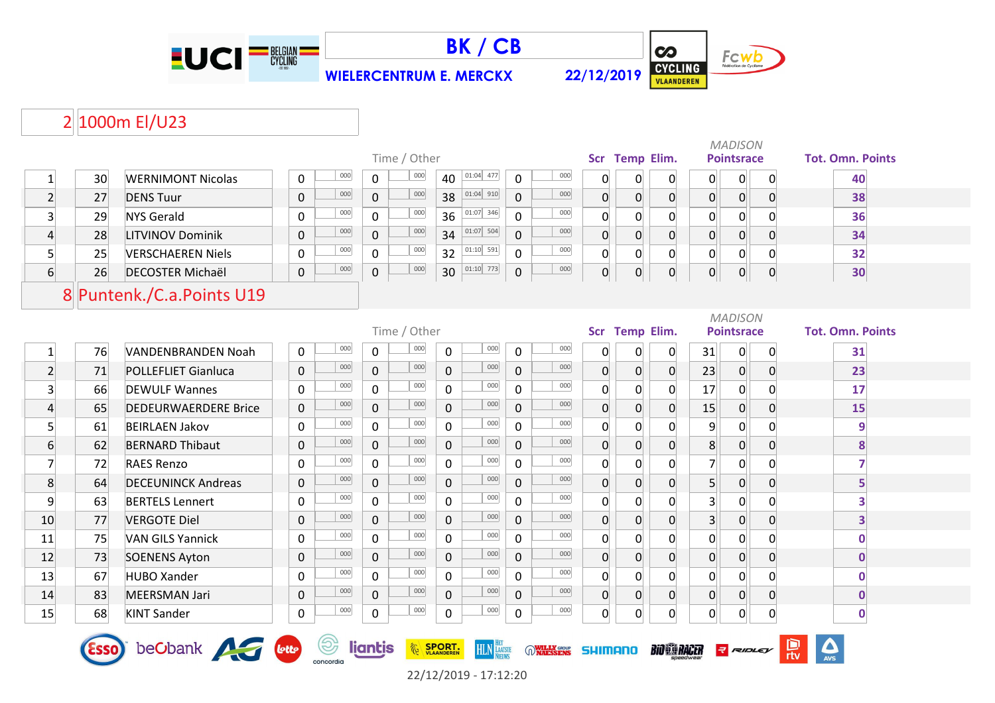



**WIELERCENTRUM E. MERCKX 22/12/2019**



# 2 1000m El/U23

|                 |    |                             |             |     |              |              |                     |              |     |                |                |                |                | <b>MADISON</b>    |    |                         |  |
|-----------------|----|-----------------------------|-------------|-----|--------------|--------------|---------------------|--------------|-----|----------------|----------------|----------------|----------------|-------------------|----|-------------------------|--|
|                 |    |                             |             |     |              | Time / Other |                     |              |     |                | Scr Temp Elim. |                |                | <b>Pointsrace</b> |    | <b>Tot. Omn. Points</b> |  |
|                 | 30 | <b>WERNIMONT Nicolas</b>    | 0           | 000 | $\mathbf{0}$ | 000          | $01:04$ 477<br>40   | $\Omega$     | 000 |                |                | 0              | 0              | 0                 |    | 40                      |  |
| $\overline{2}$  | 27 | <b>DENS Tuur</b>            | $\mathbf 0$ | 000 | $\mathbf 0$  | 000          | $ 01:04 $ 910<br>38 | $\mathbf 0$  | 000 | $\overline{0}$ | $\Omega$       | $\mathbf{0}$   | 0              | $\overline{0}$    |    | 38                      |  |
| 3               | 29 | <b>NYS Gerald</b>           | 0           | 000 | $\Omega$     | 000          | 01:07 346<br>36     | $\Omega$     | 000 |                | $\Omega$       | $\Omega$       | $\mathbf{0}$   | $\Omega$          |    | 36                      |  |
| $\vert 4 \vert$ | 28 | <b>LITVINOV Dominik</b>     | $\mathbf 0$ | 000 | $\mathbf 0$  | 000          | $01:07$ 504<br>34   | $\mathbf 0$  | 000 |                | $\Omega$       | $\overline{0}$ | $\overline{0}$ | $\Omega$          |    | 34                      |  |
| 5 <sup>1</sup>  | 25 | <b>VERSCHAEREN Niels</b>    | 0           | 000 | $\Omega$     | 000          | $01:10$ 591<br>32   | $\mathbf 0$  | 000 |                | $\Omega$       | 0              | $\mathbf{0}$   | $\mathbf{0}$      |    | 32                      |  |
| 6               | 26 | <b>DECOSTER Michaël</b>     | $\mathbf 0$ | 000 | 0            | 000          | $01:10$ 773<br>30   | 0            | 000 |                | $\overline{0}$ | $\overline{0}$ | 0              | $\Omega$          | -0 | 30                      |  |
|                 |    |                             |             |     |              |              |                     |              |     |                |                |                |                |                   |    |                         |  |
|                 |    |                             |             |     |              |              |                     |              |     |                |                |                |                |                   |    |                         |  |
|                 |    | 8 Puntenk./C.a.Points U19   |             |     |              |              |                     |              |     |                |                |                |                |                   |    |                         |  |
|                 |    |                             |             |     |              |              |                     |              |     |                |                |                |                | <b>MADISON</b>    |    |                         |  |
|                 |    |                             |             |     |              | Time / Other |                     |              |     |                | Scr Temp Elim. |                |                | <b>Pointsrace</b> |    | <b>Tot. Omn. Points</b> |  |
|                 | 76 | VANDENBRANDEN Noah          | $\mathbf 0$ | 000 | $\mathbf{0}$ | 000          | 000<br>$\mathbf 0$  | $\Omega$     | 000 |                | 0              | 0              | 31             | 0                 |    | 31                      |  |
| $\overline{2}$  | 71 | <b>POLLEFLIET Gianluca</b>  | $\mathbf 0$ | 000 | $\mathbf 0$  | 000          | 000<br>$\mathbf 0$  | $\mathbf{0}$ | 000 | $\overline{0}$ | $\Omega$       | $\mathbf 0$    | 23             | 0                 |    | 23                      |  |
| $\overline{3}$  | 66 | <b>DEWULF Wannes</b>        | 0           | 000 | $\mathbf{0}$ | 000          | 000<br>$\Omega$     | $\Omega$     | 000 | $\Omega$       | $\Omega$       | 0              | 17             | 0                 |    | 17                      |  |
| $\overline{4}$  | 65 | <b>DEDEURWAERDERE Brice</b> | $\pmb{0}$   | 000 | $\mathbf 0$  | 000          | 000<br>$\mathbf 0$  | $\mathbf 0$  | 000 | $\overline{0}$ | $\Omega$       | $\mathbf 0$    | 15             | $\overline{0}$    |    | 15                      |  |
| $\overline{5}$  | 61 | <b>BEIRLAEN Jakov</b>       | 0           | 000 | $\mathbf{0}$ | 000          | 000<br>$\mathbf{0}$ | 0            | 000 |                |                | $\Omega$       | 9              |                   |    | 9                       |  |

|    | 76          | VANDENBRANDEN Noah          | Ü           | $\sim$           | U        | $\sim$<br>Ü           | $\sim$             | Ü        | $\sim$              | U | U        |                        | 31             | U            | 31         |  |
|----|-------------|-----------------------------|-------------|------------------|----------|-----------------------|--------------------|----------|---------------------|---|----------|------------------------|----------------|--------------|------------|--|
|    | 71          | <b>POLLEFLIET Gianluca</b>  | 0           | 000              | 0        | 000<br>0              | 000                | $\Omega$ | 000                 | 0 | $\Omega$ | 0                      | 23             | 0            | 23         |  |
|    | 66          | <b>DEWULF Wannes</b>        | $\mathbf 0$ | 000              | $\Omega$ | 000<br>0              | 000                | $\Omega$ | 000                 | 0 |          |                        | 17             | 0            | 17         |  |
|    | 65          | <b>DEDEURWAERDERE Brice</b> | $\Omega$    | 000              | 0        | 000<br>0              | 000                | $\Omega$ | 000                 | 0 | $\Omega$ |                        | 15             | 0            | 15         |  |
|    | 61          | <b>BEIRLAEN Jakov</b>       | $\Omega$    | 000              | 0        | 000<br>0              | 000                |          | 000                 |   |          |                        | 9              | 0            |            |  |
| 6  | 62          | <b>BERNARD Thibaut</b>      | 0           | 000              | 0        | 000<br>0              | 000                | 0        | 000                 | 0 |          |                        | 8              | 0            |            |  |
|    | 72          | <b>RAES Renzo</b>           | 0           | 000              | 0        | 000<br>0              | 000                |          | 000                 | 0 |          |                        |                | 0            |            |  |
| 8  | 64          | <b>DECEUNINCK Andreas</b>   | $\mathbf 0$ | 000              | 0        | 000<br>$\overline{0}$ | 000                | $\Omega$ | 000                 |   |          |                        |                | 0            |            |  |
| 9  | 63          | <b>BERTELS Lennert</b>      | 0           | 000              | 0        | 000<br>$\mathbf 0$    | 000                | $\Omega$ | 000                 |   |          |                        | 31             | 0            |            |  |
| 10 | 77          | <b>VERGOTE Diel</b>         | 0           | 000              | 0        | 000<br>0              | 000                | $\Omega$ | 000                 |   |          |                        | 3              | $\Omega$     |            |  |
| 11 | 75          | <b>VAN GILS Yannick</b>     | 0           | 000              | 0        | 000<br>0              | 000                | $\Omega$ | 000                 | 0 |          |                        | 0              | 0            |            |  |
| 12 | 73          | <b>SOENENS Ayton</b>        | $\mathbf 0$ | 000              | 0        | 000<br>0              | 000                | $\Omega$ | 000                 | 0 | $\Omega$ |                        | 0              | 0            |            |  |
| 13 | 67          | <b>HUBO Xander</b>          | $\Omega$    | 000              | 0        | 000<br>0              | 000                | $\Omega$ | 000                 |   |          |                        | 0              | 0            |            |  |
| 14 | 83          | <b>MEERSMAN Jari</b>        | $\mathbf 0$ | 000              | 0        | 000<br>0              | 000                | $\Omega$ | 000                 | 0 | $\Omega$ |                        | $\overline{0}$ | 0            |            |  |
| 15 | 68          | <b>KINT Sander</b>          | 0           | 000              | 0        | 000<br>0              | 000                | 0        | 000                 | 0 | 0        | $\Omega$               | 0              | $\mathbf{0}$ |            |  |
|    | <b>ESSO</b> | beCbank <b>Allen</b> Lette  |             | (ᢒ)<br>concordia | liantis  | <b>EDORT.</b>         | <b>HLN</b> LAATSTE |          | WILLY GROUP SHIMANO |   |          | BIO CORACTER RESIDENCE |                |              | <b>AVS</b> |  |

22/12/2019 - 17:12:20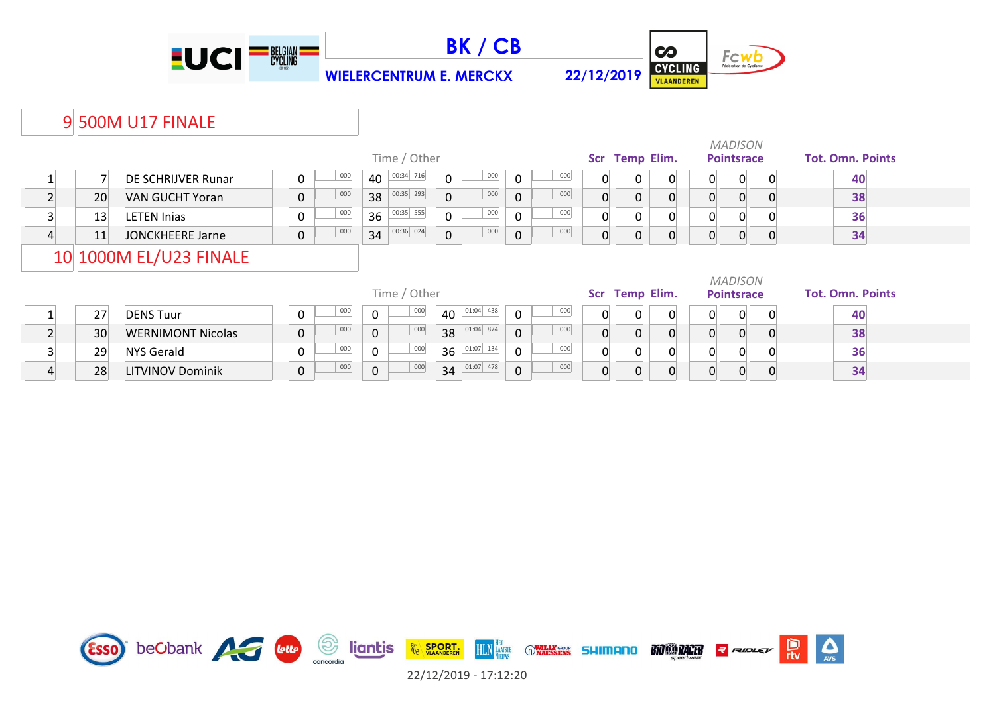





*MADISON*

### 9 500M U17 FINALE

|   |    |                           |             |     |          | Time / Other             |                |                                           |                |     | <b>Scr</b> | <b>Temp Elim.</b> |          |                | <b>Pointsrace</b> | <b>Tot. Omn. Points</b> |
|---|----|---------------------------|-------------|-----|----------|--------------------------|----------------|-------------------------------------------|----------------|-----|------------|-------------------|----------|----------------|-------------------|-------------------------|
|   |    | <b>DE SCHRIJVER Runar</b> | 0           | 000 | 40       | 00:34 716                | $\Omega$       | 000                                       | $\overline{0}$ | 000 | 0          | 0                 | 0        | $\mathsf{O}$   | $\Omega$          | 40                      |
|   | 20 | VAN GUCHT Yoran           | $\mathbf 0$ | 000 | 38       | 00:35   293              | $\mathbf{0}$   | 000                                       | $\mathbf 0$    | 000 | 0          | $\Omega$          |          | 0              |                   | 38                      |
|   | 13 | <b>LETEN Inias</b>        | 0           | 000 | 36       | 00:35 555                | $\Omega$       | 000                                       | $\mathbf 0$    | 000 | 0          | $\Omega$          |          | 0              |                   | 36                      |
| 4 | 11 | JONCKHEERE Jarne          | 0           | 000 |          | $34\overline{)00:36}024$ | $\overline{0}$ | 000                                       | $\mathbf 0$    | 000 | 0          | $\overline{0}$    |          | $\overline{0}$ | $\Omega$          | 34                      |
|   |    | 10 1000M EL/U23 FINALE    |             |     |          |                          |                |                                           |                |     |            |                   |          |                |                   |                         |
|   |    |                           |             |     |          |                          |                |                                           |                |     |            |                   |          |                |                   |                         |
|   |    |                           |             |     |          |                          |                |                                           |                |     |            |                   |          |                | <b>MADISON</b>    |                         |
|   |    |                           |             |     |          | Time / Other             |                |                                           |                |     | <b>Scr</b> | <b>Temp Elim.</b> |          |                | <b>Pointsrace</b> | <b>Tot. Omn. Points</b> |
|   | 27 | <b>DENS Tuur</b>          | 0           | 000 | $\Omega$ | 000                      |                | $\frac{1}{40}$ 01:04 438                  | $\Omega$       | 000 | 0          | $\Omega$          | $\Omega$ | $\Omega$       | $\Omega$          | 40                      |
|   | 30 | <b>WERNIMONT Nicolas</b>  | $\mathsf 0$ | 000 | 0        | 000                      |                | $38$ 01:04 874                            | $\mathbf{0}$   | 000 | 0          | $\Omega$          |          | $\Omega$       |                   | 38                      |
|   | 29 | <b>NYS Gerald</b>         | 0           | 000 | $\Omega$ | 000                      |                | $36 \frac{\boxed{01:07} \boxed{134}}{20}$ | $\mathbf 0$    | 000 | 0          | $\Omega$          |          | $\Omega$       |                   | 36                      |

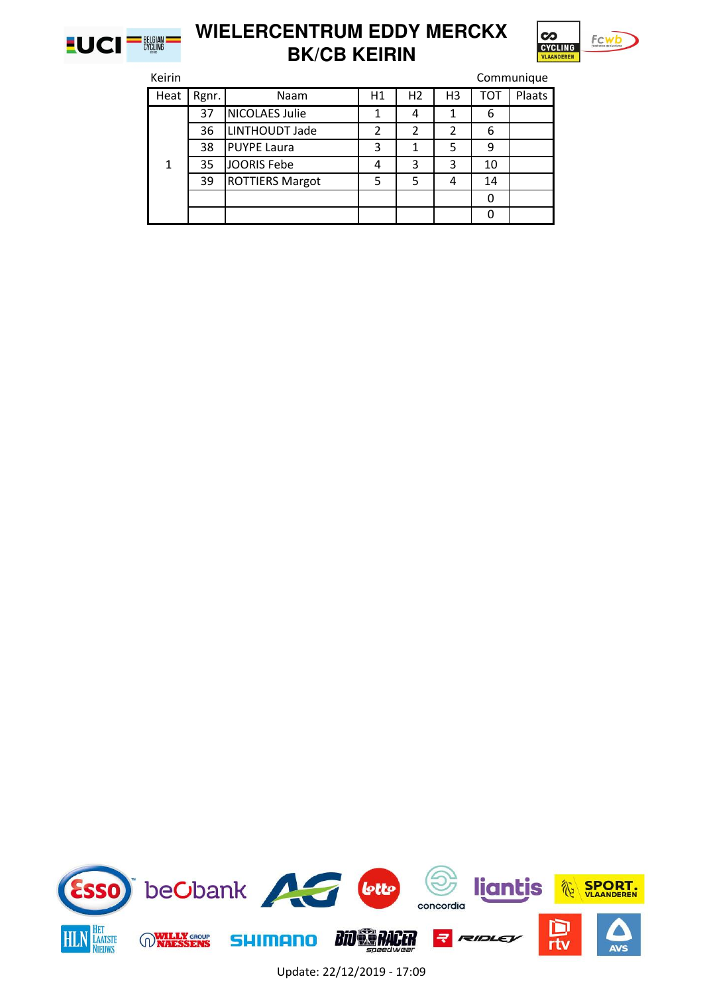



| Keirin |       |                        |    |                |                |     | Communique |
|--------|-------|------------------------|----|----------------|----------------|-----|------------|
| Heat   | Rgnr. | Naam                   | H1 | H <sub>2</sub> | H <sub>3</sub> | тот | Plaats     |
|        | 37    | <b>NICOLAES Julie</b>  | 1  | 4              | 1              | 6   |            |
|        | 36    | LINTHOUDT Jade         | 2  | 2              | 2              | 6   |            |
|        | 38    | <b>PUYPE Laura</b>     | 3  |                | 5              | 9   |            |
| 1      | 35    | <b>JOORIS Febe</b>     | 4  | 3              | 3              | 10  |            |
|        | 39    | <b>ROTTIERS Margot</b> | 5  | 5              | 4              | 14  |            |
|        |       |                        |    |                |                |     |            |
|        |       |                        |    |                |                |     |            |

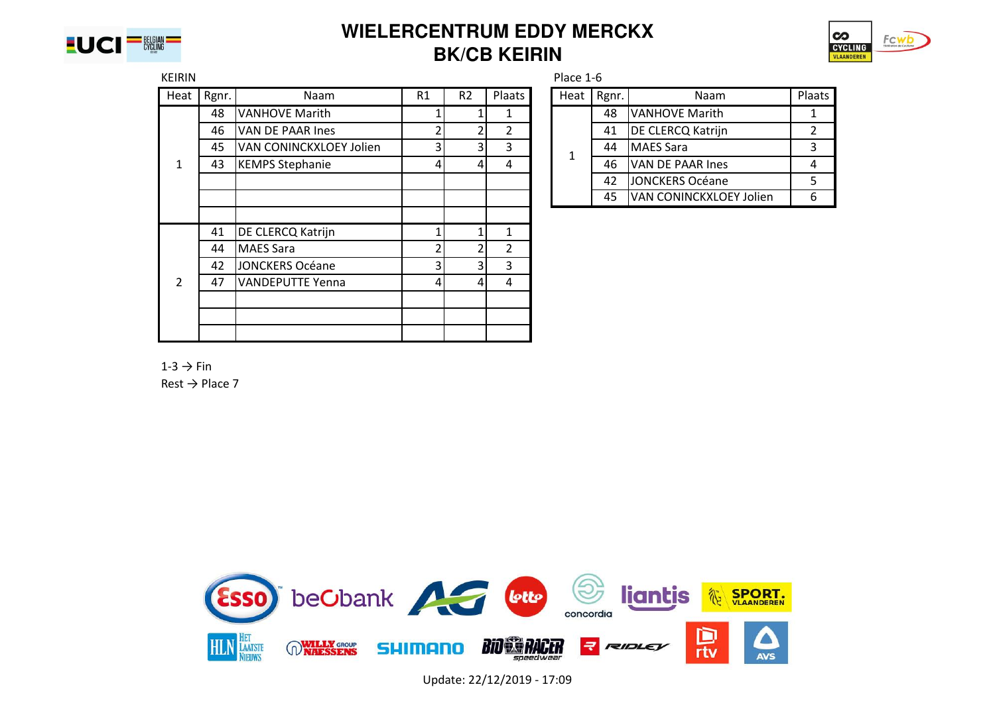



| <b>KEIRIN</b> |       |                         |    |                |                | Place 1-6 |       |                                |                |
|---------------|-------|-------------------------|----|----------------|----------------|-----------|-------|--------------------------------|----------------|
| Heat          | Rgnr. | <b>Naam</b>             | R1 | R <sub>2</sub> | Plaats         | Heat      | Rgnr. | Naam                           | Plaats         |
|               | 48    | <b>VANHOVE Marith</b>   |    |                | 1              |           | 48    | <b>VANHOVE Marith</b>          | 1              |
|               | 46    | VAN DE PAAR Ines        | ┑  | 2              | $\overline{2}$ |           | 41    | <b>DE CLERCQ Katrijn</b>       | $\overline{2}$ |
|               | 45    | VAN CONINCKXLOEY Jolien | 3  | 3              | 3              | 1         | 44    | MAES Sara                      | 3              |
| 1             | 43    | <b>KEMPS Stephanie</b>  | 4  | $\frac{4}{ }$  | 4              |           | 46    | VAN DE PAAR Ines               | 4              |
|               |       |                         |    |                |                |           | 42    | JONCKERS Océane                | 5.             |
|               |       |                         |    |                |                |           | 45    | <b>VAN CONINCKXLOEY Jolien</b> | 6              |
|               |       |                         |    |                |                |           |       |                                |                |
|               | 41    | DE CLERCQ Katrijn       |    |                | 1              |           |       |                                |                |
|               | 44    | MAES Sara               | า  | 2              | 2              |           |       |                                |                |
|               | 42    | JONCKERS Océane         | 3  | 31             | 3              |           |       |                                |                |
| $\mathcal{P}$ | 47    | VANDEPUTTE Yenna        | 41 | $\frac{4}{ }$  | 4              |           |       |                                |                |
|               |       |                         |    |                |                |           |       |                                |                |
|               |       |                         |    |                |                |           |       |                                |                |
|               |       |                         |    |                |                |           |       |                                |                |

| Heat | Rgnr. | Naam                           | Plaats |
|------|-------|--------------------------------|--------|
|      | 48    | VANHOVE Marith                 |        |
|      | 41    | <b>DE CLERCQ Katrijn</b>       |        |
| 1    | 44    | <b>MAES Sara</b>               | 3      |
|      | 46    | VAN DE PAAR Ines               |        |
|      | 42    | JONCKERS Océane                | 5      |
|      | 45    | <b>VAN CONINCKXLOEY Jolien</b> |        |

 $1-3 \rightarrow$  Fin

 $Rest \rightarrow Place 7$ 

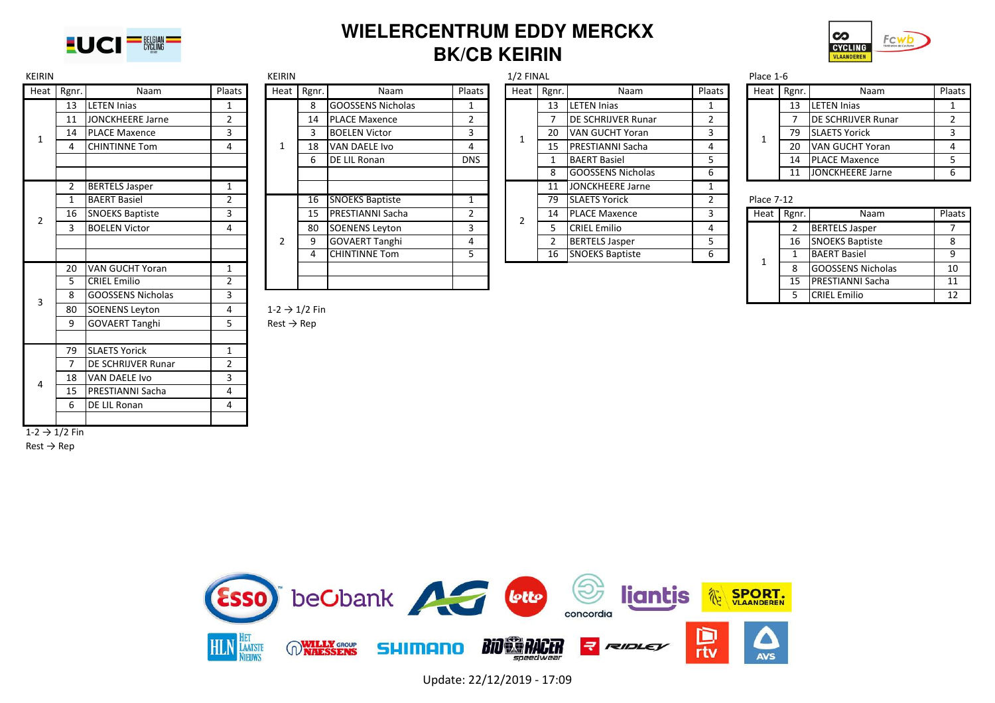



| <b>KEIRIN</b>             |            |                           |                | KEIRIN                    |            |                          |                | $1/2$ FINAL    |                |                           |        | Place 1-6         |            |                            |                |
|---------------------------|------------|---------------------------|----------------|---------------------------|------------|--------------------------|----------------|----------------|----------------|---------------------------|--------|-------------------|------------|----------------------------|----------------|
|                           | Heat Rgnr. | Naam                      | Plaats         |                           | Heat Rgnr. | Naam                     | Plaats         |                | Heat Rgnr.     | Naam                      | Plaats |                   | Heat Rgnr. | Naam                       | Plaats         |
|                           | 13         | <b>LETEN Inias</b>        | $\mathbf{1}$   |                           | 8          | <b>GOOSSENS Nicholas</b> | 1              |                | 13             | LETEN Inias               | 1      |                   | 13         | <b>LETEN Injas</b>         | $\mathbf{1}$   |
|                           | 11         | JONCKHEERE Jarne          | 2              |                           | 14         | <b>PLACE Maxence</b>     | $\overline{2}$ |                |                | <b>DE SCHRIJVER Runar</b> | 2      |                   |            | <b>IDE SCHRIJVER Runar</b> | $\overline{2}$ |
| 1                         | 14         | <b>PLACE Maxence</b>      | 3              |                           |            | <b>BOELEN Victor</b>     | 3              | 1              | 20             | <b>VAN GUCHT Yoran</b>    | 3      | 1                 | 79         | <b>SLAETS Yorick</b>       | 3              |
|                           |            | <b>CHINTINNE Tom</b>      | 4              | -1                        | 18         | VAN DAELE Ivo            | 4              |                | 15             | <b>PRESTIANNI Sacha</b>   | 4      |                   | 20         | VAN GUCHT Yoran            | $\overline{4}$ |
|                           |            |                           |                |                           | 6          | <b>DE LIL Ronan</b>      | <b>DNS</b>     |                |                | <b>BAERT Basiel</b>       | 5      |                   | 14         | <b>PLACE Maxence</b>       | 5              |
|                           |            |                           |                |                           |            |                          |                |                | 8              | <b>GOOSSENS Nicholas</b>  | 6      |                   | 11         | JONCKHEERE Jarne           | 6              |
|                           |            | <b>BERTELS Jasper</b>     | $\mathbf{1}$   |                           |            |                          |                |                | 11             | JONCKHEERE Jarne          | 1      |                   |            |                            |                |
|                           |            | <b>BAERT Basiel</b>       | $\overline{2}$ |                           | 16         | <b>SNOEKS Baptiste</b>   | -1             |                | 79             | <b>SLAETS Yorick</b>      | 2      | <b>Place 7-12</b> |            |                            |                |
| $\overline{2}$            | 16         | <b>SNOEKS Baptiste</b>    | 3              |                           | 15         | <b>PRESTIANNI Sacha</b>  | $\overline{2}$ | $\overline{2}$ | 14             | <b>PLACE Maxence</b>      | 3      |                   | Heat Rgnr. | Naam                       | Plaats         |
|                           | 3          | <b>BOELEN Victor</b>      | 4              |                           | 80         | <b>SOENENS Leyton</b>    | 3              |                | 5.             | <b>CRIEL Emilio</b>       | 4      |                   |            | <b>BERTELS Jasper</b>      | $7^{\circ}$    |
|                           |            |                           |                | 2                         | 9          | <b>GOVAERT Tanghi</b>    | 4              |                | $\overline{2}$ | <b>BERTELS Jasper</b>     | 5      |                   | 16         | <b>SNOEKS Baptiste</b>     | 8              |
|                           |            |                           |                |                           |            | <b>CHINTINNE Tom</b>     | 5              |                | 16             | <b>SNOEKS Baptiste</b>    | 6      | 1                 | 1          | <b>BAERT Basiel</b>        | 9              |
|                           | 20         | VAN GUCHT Yoran           | $\mathbf{1}$   |                           |            |                          |                |                |                |                           |        |                   | 8          | <b>GOOSSENS Nicholas</b>   | 10             |
|                           |            | <b>CRIEL Emilio</b>       | $\overline{2}$ |                           |            |                          |                |                |                |                           |        |                   | 15         | <b>PRESTIANNI Sacha</b>    | 11             |
| 3                         | 8          | <b>GOOSSENS Nicholas</b>  | 3              |                           |            |                          |                |                |                |                           |        |                   | 5          | <b>CRIEL Emilio</b>        | 12             |
|                           | 80         | <b>SOENENS Leyton</b>     | 4              | $1-2 \rightarrow 1/2$ Fin |            |                          |                |                |                |                           |        |                   |            |                            |                |
|                           | 9          | <b>GOVAERT Tanghi</b>     | 5              | $Rest \rightarrow Rep$    |            |                          |                |                |                |                           |        |                   |            |                            |                |
|                           |            |                           |                |                           |            |                          |                |                |                |                           |        |                   |            |                            |                |
|                           | 79         | <b>SLAETS Yorick</b>      | $\mathbf{1}$   |                           |            |                          |                |                |                |                           |        |                   |            |                            |                |
|                           |            | <b>DE SCHRIJVER Runar</b> | $\overline{2}$ |                           |            |                          |                |                |                |                           |        |                   |            |                            |                |
| 4                         | 18         | VAN DAELE Ivo             | 3              |                           |            |                          |                |                |                |                           |        |                   |            |                            |                |
|                           | -15        | <b>PRESTIANNI Sacha</b>   | 4              |                           |            |                          |                |                |                |                           |        |                   |            |                            |                |
|                           | 6          | <b>DE LIL Ronan</b>       | 4              |                           |            |                          |                |                |                |                           |        |                   |            |                            |                |
|                           |            |                           |                |                           |            |                          |                |                |                |                           |        |                   |            |                            |                |
| $1-2 \rightarrow 1/2$ Fin |            |                           |                |                           |            |                          |                |                |                |                           |        |                   |            |                            |                |

 $Rest \rightarrow Rep$ 

|      |                         |        | <b>NEININ</b> |       |                          |               | <b>I/Z FINAL</b> |       |                            |                | Pidce 1-0         |            |                            |     |
|------|-------------------------|--------|---------------|-------|--------------------------|---------------|------------------|-------|----------------------------|----------------|-------------------|------------|----------------------------|-----|
| gnr. | Naam                    | Plaats | Heat          | Rgnr. | Naam                     | <b>Plaats</b> | <b>Heat</b>      | Rgnr. | Naam                       | Plaats         | Heat              | Rgnr.      | Naam                       | Pla |
| 13   | <b>LETEN Inias</b>      |        |               | 8     | GOOSSENS Nicholas        |               |                  | 13    | <b>LETEN Injas</b>         |                |                   | 13         | <b>LETEN Injas</b>         |     |
| 11   | <b>JONCKHEERE Jarne</b> |        |               | 14    | <b>PLACE Maxence</b>     |               |                  |       | <b>IDE SCHRIJVER Runar</b> |                |                   |            | <b>IDE SCHRIJVER Runar</b> |     |
| 14   | <b>PLACE Maxence</b>    |        |               |       | <b>BOELEN Victor</b>     | 3             |                  | 20    | VAN GUCHT Yoran            | 3              |                   | 79         | <b>SLAETS Yorick</b>       |     |
| 4    | <b>CHINTINNE Tom</b>    | 4      |               | 18    | VAN DAELE Ivo            |               | <b>L</b>         | 15    | <b>PRESTIANNI Sacha</b>    | 4              |                   | 20         | VAN GUCHT Yoran            |     |
|      |                         |        |               | b     | DE LIL Ronan             | <b>DNS</b>    |                  |       | <b>BAERT Basiel</b>        |                |                   | 14         | <b>PLACE Maxence</b>       |     |
|      |                         |        |               |       |                          |               |                  |       | <b>GOOSSENS Nicholas</b>   | b              |                   | 11         | JONCKHEERE Jarne           |     |
|      | <b>BERTELS Jasper</b>   |        |               |       |                          |               |                  | 11    | <b>JONCKHEERE Jarne</b>    |                |                   |            |                            |     |
|      | <b>BAERT Basiel</b>     |        |               | 16    | <b>SNOEKS Baptiste</b>   |               |                  | 79    | <b>SLAETS Yorick</b>       | $\overline{2}$ | <b>Place 7-12</b> |            |                            |     |
| 16   | <b>SNOEKS Baptiste</b>  |        |               | 15    | <b>IPRESTIANNI Sacha</b> |               | 2                | 14    | <b>PLACE Maxence</b>       | 3              |                   | Heat Rgnr. | Naam                       | Pla |
|      | <b>BOELEN Victor</b>    |        |               | -80   | <b>SOENENS Leyton</b>    |               |                  |       | <b>CRIEL Emilio</b>        | 4              |                   |            | <b>BERTELS Jasper</b>      |     |
|      |                         |        |               |       | <b>GOVAERT Tanghi</b>    |               |                  |       | <b>BERTELS Jasper</b>      | כ              |                   | 16         | <b>SNOEKS Baptiste</b>     |     |
|      |                         |        |               |       | <b>CHINTINNE Tom</b>     |               |                  | 16    | <b>SNOEKS Baptiste</b>     | b              |                   |            | <b>BAERT Basiel</b>        |     |
| 20   | VAN GUCHT Yoran         |        |               |       |                          |               |                  |       |                            |                |                   | 8          | <b>GOOSSENS Nicholas</b>   |     |
|      | CRIFI Fmilio            |        |               |       |                          |               |                  |       |                            |                |                   | 15         | <b>PRESTIANNI Sacha</b>    |     |

| Rgnr.<br>Naam<br>eat<br><b>LETEN Inias</b><br>13<br>DE SCHRIJVER Runar<br>7<br>20<br><b>VAN GUCHT Yoran</b><br>$\mathbf{1}$<br>15<br>PRESTIANNI Sacha |                |
|-------------------------------------------------------------------------------------------------------------------------------------------------------|----------------|
|                                                                                                                                                       | Plaats         |
|                                                                                                                                                       | 1              |
|                                                                                                                                                       | $\overline{2}$ |
|                                                                                                                                                       | 3              |
|                                                                                                                                                       | 4              |
| $\mathbf{1}$<br><b>BAERT Basiel</b>                                                                                                                   | 5              |
| 8<br><b>GOOSSENS Nicholas</b>                                                                                                                         | 6              |
| $\overline{11}$<br><b>JONCKHEERE Jarne</b>                                                                                                            | $\overline{1}$ |
| 79<br><b>SLAETS Yorick</b>                                                                                                                            | $\overline{2}$ |
| 14<br><b>PLACE Maxence</b><br>2                                                                                                                       | 3              |
| 5<br><b>CRIEL Emilio</b>                                                                                                                              | 4              |
| $\overline{2}$<br><b>BERTELS Jasper</b>                                                                                                               | 5              |
| <b>SNOEKS Baptiste</b><br>16                                                                                                                          | 6              |

| mr. | Naam                       | <b>Plaats</b> | Heat | Rgnr. | Naam                    | Plaats |
|-----|----------------------------|---------------|------|-------|-------------------------|--------|
| 3   | <b>LETEN Injas</b>         |               |      | 13    | <b>LETEN Injas</b>      |        |
| 7   | <b>IDE SCHRIJVER Runar</b> |               |      |       | DE SCHRIJVER Runar      |        |
| 20. | VAN GUCHT Yoran            |               |      | 79    | <b>SLAETS Yorick</b>    |        |
| ι5  | <b>IPRESTIANNI Sacha</b>   | 4             |      | 20    | VAN GUCHT Yoran         |        |
| 1   | <b>BAERT Basiel</b>        |               |      | 14    | <b>PLACE Maxence</b>    |        |
| 8   | <b>GOOSSENS Nicholas</b>   | 6             |      | 11    | <b>JONCKHEERE Jarne</b> |        |
|     |                            |               |      |       |                         |        |

|   | <b>BAERT Basiel</b>      |  | 16 | <b>SNOEKS Baptiste</b>  |  | 79 | <b>SLAETS Yorick</b>   |  | <b>Place 7-12</b> |    |                          |        |
|---|--------------------------|--|----|-------------------------|--|----|------------------------|--|-------------------|----|--------------------------|--------|
|   | 16 SNOEKS Baptiste       |  | 15 | <b>PRESTIANNI Sacha</b> |  | 14 | <b>PLACE Maxence</b>   |  | Heat Rgnr.        |    | Naam                     | Plaats |
|   | <b>BOELEN Victor</b>     |  | 80 | SOENENS Leyton          |  |    | <b>CRIEL Emilio</b>    |  |                   |    | <b>BERTELS Jasper</b>    |        |
|   |                          |  |    | <b>GOVAERT Tanghi</b>   |  |    | <b>BERTELS Jasper</b>  |  |                   | 16 | <b>SNOEKS Baptiste</b>   |        |
|   |                          |  |    | <b>CHINTINNE Tom</b>    |  | 16 | <b>SNOEKS Baptiste</b> |  |                   |    | <b>BAERT Basiel</b>      |        |
|   | 20 VAN GUCHT Yoran       |  |    |                         |  |    |                        |  |                   |    | <b>GOOSSENS Nicholas</b> | 10     |
|   | <b>CRIEL Emilio</b>      |  |    |                         |  |    |                        |  |                   | 15 | <b>IPRESTIANNI Sacha</b> | 11     |
| 8 | <b>GOOSSENS Nicholas</b> |  |    |                         |  |    |                        |  |                   |    | <b>CRIEL Emilio</b>      | 12     |

#### $1-2 \rightarrow 1/2$  Fin

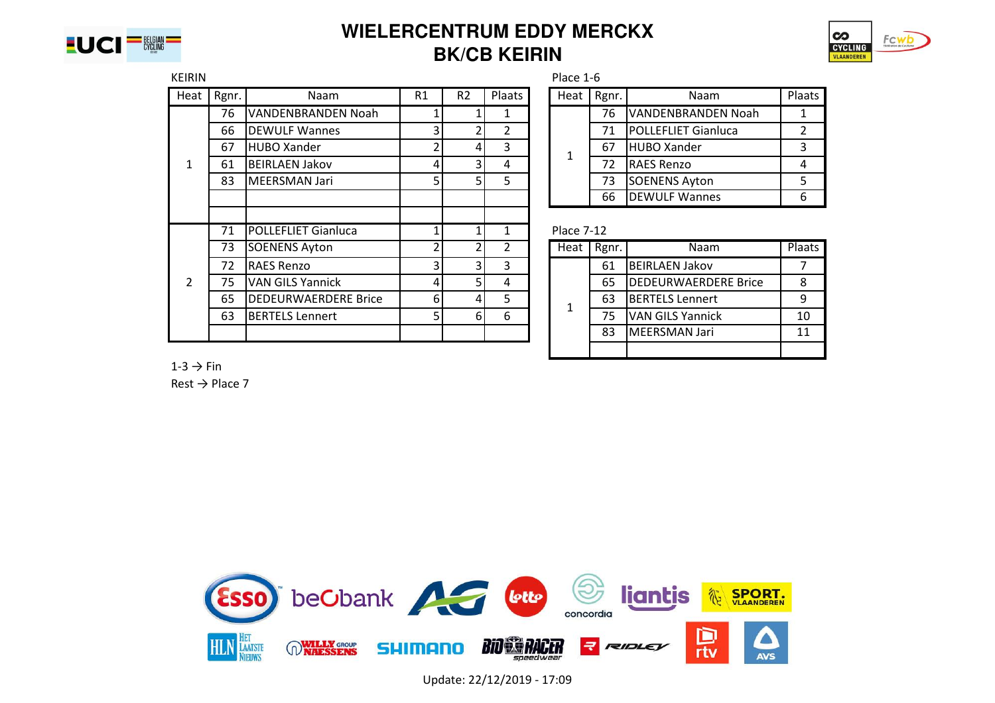



| <b>KEIRIN</b> |       |                             |    |                |                | Place 1-6         |       |                             |                |  |
|---------------|-------|-----------------------------|----|----------------|----------------|-------------------|-------|-----------------------------|----------------|--|
| Heat          | Rgnr. | Naam                        | R1 | R <sub>2</sub> | Plaats         | Heat              | Rgnr. | Naam                        | Plaats         |  |
|               | 76    | VANDENBRANDEN Noah          |    |                |                |                   | 76    | <b>VANDENBRANDEN Noah</b>   |                |  |
|               | 66    | <b>DEWULF Wannes</b>        |    |                | $\overline{2}$ |                   | 71    | <b>POLLEFLIET Gianluca</b>  | $\overline{2}$ |  |
|               | 67    | <b>HUBO Xander</b>          |    | 4              | 3              | 1                 | 67    | <b>HUBO Xander</b>          | 3              |  |
| $\mathbf{1}$  | 61    | <b>BEIRLAEN Jakov</b>       |    |                | 4              |                   | 72    | <b>RAES Renzo</b>           | 4              |  |
|               | 83    | <b>MEERSMAN Jari</b>        |    |                | 5              |                   | 73    | <b>SOENENS Ayton</b>        | 5              |  |
|               |       |                             |    |                |                |                   | 66    | <b>DEWULF Wannes</b>        | 6              |  |
|               |       |                             |    |                |                |                   |       |                             |                |  |
|               | 71    | <b>POLLEFLIET Gianluca</b>  |    |                |                | <b>Place 7-12</b> |       |                             |                |  |
|               | 73    | <b>SOENENS Ayton</b>        |    |                | $\overline{2}$ | Heat              | Rgnr. | Naam                        | Plaats         |  |
|               | 72    | <b>RAES Renzo</b>           |    | 3              | 3              |                   | 61    | <b>BEIRLAEN Jakov</b>       |                |  |
| $\mathcal{P}$ | 75    | <b>VAN GILS Yannick</b>     | 4  | 51             | 4              |                   | 65    | <b>DEDEURWAERDERE Brice</b> | 8              |  |
|               | 65    | <b>DEDEURWAERDERE Brice</b> | 6  | 4              | 5.             | $\mathbf{1}$      | 63    | <b>BERTELS Lennert</b>      | 9              |  |
|               | 63    | <b>BERTELS Lennert</b>      |    | 6I             | 6              |                   | 75    | <b>VAN GILS Yannick</b>     | 10             |  |
|               |       |                             |    |                |                |                   | 83    | <b>MEERSMAN Jari</b>        | 11             |  |
|               |       |                             |    |                |                |                   |       |                             |                |  |

| leat | Rgnr. | Naam                       | Plaats |
|------|-------|----------------------------|--------|
|      | 76    | VANDENBRANDEN Noah         |        |
|      | 71    | <b>POLLEFLIET Gianluca</b> | 2      |
|      | 67    | <b>HUBO Xander</b>         | 3      |
|      | 72    | <b>RAES Renzo</b>          |        |
|      | 73    | SOENENS Ayton              | 5      |
|      | 66    | <b>DEWULF Wannes</b>       | 6      |

| Heat | Rgnr. | Naam                        | Plaats |
|------|-------|-----------------------------|--------|
|      | 61    | <b>BEIRLAEN Jakov</b>       |        |
|      | 65    | <b>DEDEURWAERDERE Brice</b> |        |
| 1    | 63    | <b>BERTELS Lennert</b>      |        |
|      | 75    | <b>VAN GILS Yannick</b>     | 10     |
|      | 83    | MEERSMAN Jari               | 11     |
|      |       |                             |        |

 $1-3 \rightarrow$  Fin  $Rest \rightarrow$  Place 7

> beObank Accepte liantis **SPORT.** 谷 concordia ם **BIO ES RACER RIDLE HLN WILLY GROUP** LAATSTE **SHIMANO** rtv **AVS**